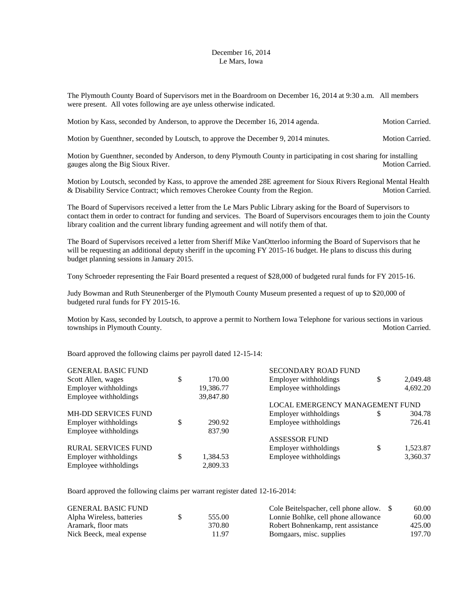## December 16, 2014 Le Mars, Iowa

The Plymouth County Board of Supervisors met in the Boardroom on December 16, 2014 at 9:30 a.m. All members were present. All votes following are aye unless otherwise indicated.

Motion by Kass, seconded by Anderson, to approve the December 16, 2014 agenda. Motion Carried.

Motion by Guenthner, seconded by Loutsch, to approve the December 9, 2014 minutes. Motion Carried.

Motion by Guenthner, seconded by Anderson, to deny Plymouth County in participating in cost sharing for installing gauges along the Big Sioux River. The state of the Security and Security and Security and Security and Security and Security and Security and Security and Security and Security and Security and Security and Security and Se

Motion by Loutsch, seconded by Kass, to approve the amended 28E agreement for Sioux Rivers Regional Mental Health & Disability Service Contract; which removes Cherokee County from the Region. Motion Carried.

The Board of Supervisors received a letter from the Le Mars Public Library asking for the Board of Supervisors to contact them in order to contract for funding and services. The Board of Supervisors encourages them to join the County library coalition and the current library funding agreement and will notify them of that.

The Board of Supervisors received a letter from Sheriff Mike VanOtterloo informing the Board of Supervisors that he will be requesting an additional deputy sheriff in the upcoming FY 2015-16 budget. He plans to discuss this during budget planning sessions in January 2015.

Tony Schroeder representing the Fair Board presented a request of \$28,000 of budgeted rural funds for FY 2015-16.

Judy Bowman and Ruth Steunenberger of the Plymouth County Museum presented a request of up to \$20,000 of budgeted rural funds for FY 2015-16.

Motion by Kass, seconded by Loutsch, to approve a permit to Northern Iowa Telephone for various sections in various townships in Plymouth County. Motion Carried.

Board approved the following claims per payroll dated 12-15-14:

| <b>GENERAL BASIC FUND</b>  |                | SECONDARY ROAD FUND             |    |          |
|----------------------------|----------------|---------------------------------|----|----------|
| Scott Allen, wages         | \$<br>170.00   | Employer withholdings           | \$ | 2,049.48 |
| Employer withholdings      | 19,386.77      | Employee withholdings           |    | 4,692.20 |
| Employee withholdings      | 39,847.80      |                                 |    |          |
|                            |                | LOCAL EMERGENCY MANAGEMENT FUND |    |          |
| <b>MH-DD SERVICES FUND</b> |                | Employer withholdings           | S  | 304.78   |
| Employer withholdings      | 290.92         | Employee withholdings           |    | 726.41   |
| Employee withholdings      | 837.90         |                                 |    |          |
|                            |                | <b>ASSESSOR FUND</b>            |    |          |
| <b>RURAL SERVICES FUND</b> |                | Employer withholdings           | \$ | 1,523.87 |
| Employer withholdings      | \$<br>1,384.53 | Employee withholdings           |    | 3,360.37 |
| Employee withholdings      | 2.809.33       |                                 |    |          |

Board approved the following claims per warrant register dated 12-16-2014:

| <b>GENERAL BASIC FUND</b> |        | Cole Beitelspacher, cell phone allow. \$ | 60.00  |
|---------------------------|--------|------------------------------------------|--------|
| Alpha Wireless, batteries | 555.00 | Lonnie Bohlke, cell phone allowance      | 60.00  |
| Aramark, floor mats       | 370.80 | Robert Bohnenkamp, rent assistance       | 425.00 |
| Nick Beeck, meal expense  | 11.97  | Bomgaars, misc. supplies                 | 197.70 |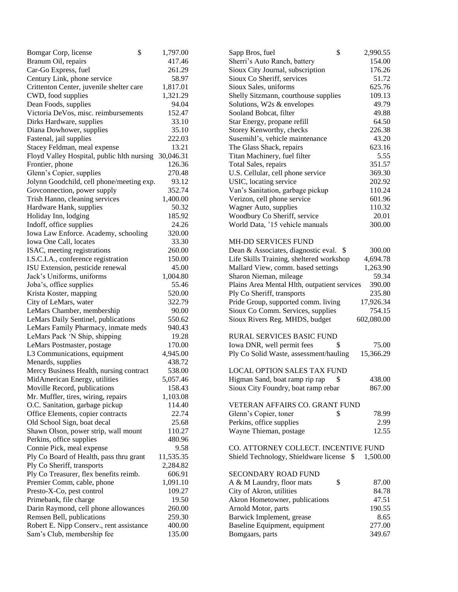| Bomgar Corp, license                                             | \$<br>1,797.00     | \$<br>2,990.55<br>Sapp Bros, fuel                      |
|------------------------------------------------------------------|--------------------|--------------------------------------------------------|
| Branum Oil, repairs                                              | 417.46             | Sherri's Auto Ranch, battery<br>154.00                 |
| Car-Go Express, fuel                                             | 261.29             | Sioux City Journal, subscription<br>176.26             |
| Century Link, phone service                                      | 58.97              | Sioux Co Sheriff, services<br>51.72                    |
| Crittenton Center, juvenile shelter care                         | 1,817.01           | Sioux Sales, uniforms<br>625.76                        |
| CWD, food supplies                                               | 1,321.29           | Shelly Sitzmann, courthouse supplies<br>109.13         |
| Dean Foods, supplies                                             | 94.04              | Solutions, W2s & envelopes<br>49.79                    |
| Victoria DeVos, misc. reimbursements                             | 152.47             | Sooland Bobcat, filter<br>49.88                        |
| Dirks Hardware, supplies                                         | 33.10              | 64.50<br>Star Energy, propane refill                   |
| Diana Dowhower, supplies                                         | 35.10              | Storey Kenworthy, checks<br>226.38                     |
| Fastenal, jail supplies                                          | 222.03             | Susemihl's, vehicle maintenance<br>43.20               |
| Stacey Feldman, meal expense                                     | 13.21              | The Glass Shack, repairs<br>623.16                     |
| Floyd Valley Hospital, public hlth nursing 30,046.31             |                    | Titan Machinery, fuel filter<br>5.55                   |
| Frontier, phone                                                  | 126.36             | 351.57<br>Total Sales, repairs                         |
| Glenn's Copier, supplies                                         | 270.48             | U.S. Cellular, cell phone service<br>369.30            |
| Jolynn Goodchild, cell phone/meeting exp.                        | 93.12              | USIC, locating service<br>202.92                       |
| Govconnection, power supply                                      | 352.74             | Van's Sanitation, garbage pickup<br>110.24             |
| Trish Hanno, cleaning services                                   | 1,400.00           | Verizon, cell phone service<br>601.96                  |
| Hardware Hank, supplies                                          | 50.32              | Wagner Auto, supplies<br>110.32                        |
| Holiday Inn, lodging                                             | 185.92             | Woodbury Co Sheriff, service<br>20.01                  |
| Indoff, office supplies                                          | 24.26              | World Data, '15 vehicle manuals<br>300.00              |
| Iowa Law Enforce. Academy, schooling                             | 320.00             |                                                        |
| Iowa One Call, locates                                           | 33.30              | <b>MH-DD SERVICES FUND</b>                             |
| ISAC, meeting registrations                                      | 260.00             | Dean & Associates, diagnostic eval. \$<br>300.00       |
| I.S.C.I.A., conference registration                              | 150.00             | Life Skills Training, sheltered workshop<br>4,694.78   |
| ISU Extension, pesticide renewal                                 | 45.00              | Mallard View, comm. based settings<br>1,263.90         |
| Jack's Uniforms, uniforms                                        | 1,004.80           | 59.34<br>Sharon Nieman, mileage                        |
| Joba's, office supplies                                          | 55.46              | Plains Area Mental Hlth, outpatient services<br>390.00 |
| Krista Koster, mapping                                           | 520.00             | Ply Co Sheriff, transports<br>235.80                   |
| City of LeMars, water                                            | 322.79             | Pride Group, supported comm. living<br>17,926.34       |
| LeMars Chamber, membership                                       | 90.00              | Sioux Co Comm. Services, supplies<br>754.15            |
| LeMars Daily Sentinel, publications                              | 550.62             | Sioux Rivers Reg. MHDS, budget<br>602,080.00           |
| LeMars Family Pharmacy, inmate meds                              | 940.43             |                                                        |
| LeMars Pack 'N Ship, shipping                                    | 19.28              | <b>RURAL SERVICES BASIC FUND</b>                       |
| LeMars Postmaster, postage                                       | 170.00             | 75.00<br>Iowa DNR, well permit fees                    |
| L3 Communications, equipment                                     | 4,945.00           | Ply Co Solid Waste, assessment/hauling<br>15,366.29    |
| Menards, supplies                                                | 438.72             |                                                        |
| Mercy Business Health, nursing contract                          | 538.00             | <b>LOCAL OPTION SALES TAX FUND</b>                     |
| MidAmerican Energy, utilities                                    | 5,057.46           | Higman Sand, boat ramp rip rap<br>\$<br>438.00         |
| Moville Record, publications                                     | 158.43             | Sioux City Foundry, boat ramp rebar<br>867.00          |
| Mr. Muffler, tires, wiring, repairs                              | 1,103.08           |                                                        |
| O.C. Sanitation, garbage pickup                                  | 114.40             | VETERAN AFFAIRS CO. GRANT FUND                         |
| Office Elements, copier contracts                                | 22.74              | Glenn's Copier, toner<br>\$<br>78.99                   |
| Old School Sign, boat decal                                      | 25.68              | Perkins, office supplies<br>2.99                       |
|                                                                  | 110.27             | Wayne Thieman, postage<br>12.55                        |
| Shawn Olson, power strip, wall mount<br>Perkins, office supplies | 480.96             |                                                        |
| Connie Pick, meal expense                                        |                    | CO. ATTORNEY COLLECT. INCENTIVE FUND                   |
|                                                                  | 9.58<br>11,535.35  | Shield Technology, Shieldware license \$<br>1,500.00   |
| Ply Co Board of Health, pass thru grant                          |                    |                                                        |
| Ply Co Sheriff, transports                                       | 2,284.82<br>606.91 | SECONDARY ROAD FUND                                    |
| Ply Co Treasurer, flex benefits reimb.                           |                    |                                                        |
| Premier Comm, cable, phone                                       | 1,091.10           | A & M Laundry, floor mats<br>\$<br>87.00               |
| Presto-X-Co, pest control                                        | 109.27             | City of Akron, utilities<br>84.78                      |
| Primebank, file charge                                           | 19.50              | Akron Hometowner, publications<br>47.51                |
| Darin Raymond, cell phone allowances                             | 260.00             | Arnold Motor, parts<br>190.55                          |
| Remsen Bell, publications                                        | 259.30             | Barwick Implement, grease<br>8.65                      |
| Robert E. Nipp Conserv., rent assistance                         | 400.00             | Baseline Equipment, equipment<br>277.00                |
| Sam's Club, membership fee                                       | 135.00             | Bomgaars, parts<br>349.67                              |

| Sapp Bros, fuel                              | \$<br>2,990.55 |
|----------------------------------------------|----------------|
| Sherri's Auto Ranch, battery                 | 154.00         |
| Sioux City Journal, subscription             | 176.26         |
| Sioux Co Sheriff, services                   | 51.72          |
| Sioux Sales, uniforms                        | 625.76         |
| Shelly Sitzmann, courthouse supplies         | 109.13         |
| Solutions, W2s & envelopes                   | 49.79          |
| Sooland Bobcat, filter                       | 49.88          |
| Star Energy, propane refill                  | 64.50          |
| Storey Kenworthy, checks                     | 226.38         |
| Susemihl's, vehicle maintenance              | 43.20          |
| The Glass Shack, repairs                     | 623.16         |
| <b>Titan Machinery</b> , fuel filter         | 5.55           |
| <b>Total Sales, repairs</b>                  | 351.57         |
| J.S. Cellular, cell phone service            | 369.30         |
| <b>JSIC</b> , locating service               | 202.92         |
| Van's Sanitation, garbage pickup             | 110.24         |
| Verizon, cell phone service                  | 601.96         |
| Wagner Auto, supplies                        | 110.32         |
| Woodbury Co Sheriff, service                 | 20.01          |
| World Data, '15 vehicle manuals              | 300.00         |
| <b>MH-DD SERVICES FUND</b>                   |                |
| Dean & Associates, diagnostic eval. \$       | 300.00         |
| Life Skills Training, sheltered workshop     | 4,694.78       |
| Mallard View, comm. based settings           | 1,263.90       |
| Sharon Nieman, mileage                       | 59.34          |
| Plains Area Mental Hlth, outpatient services | 390.00         |
| Ply Co Sheriff, transports                   | 235.80         |
| Pride Group, supported comm. living          | 17,926.34      |
| Sioux Co Comm. Services, supplies            | 754.15         |
| Sioux Rivers Reg. MHDS, budget               | 602,080.00     |
| RURAL SERVICES BASIC FUND                    |                |
| lowa DNR, well permit fees                   | \$<br>75.00    |
| Ply Co Solid Waste, assessment/hauling       | 15,366.29      |
| <b>LOCAL OPTION SALES TAX FUND</b>           |                |
| Higman Sand, boat ramp rip rap               | \$<br>438.00   |
| Sioux City Foundry, boat ramp rebar          | 867.00         |
|                                              |                |
| VETERAN AFFAIRS CO. GRANT FUND               |                |
| Glenn's Copier, toner                        | \$<br>78.99    |
| Perkins, office supplies                     | 2.99           |
| Wayne Thieman, postage                       | 12.55          |
| CO. ATTORNEY COLLECT. INCENTIVE FUND         |                |
| Shield Technology, Shieldware license \$     | 1,500.00       |
| <b>SECONDARY ROAD FUND</b>                   |                |
| A & M Laundry, floor mats                    | \$<br>87.00    |
| City of Akron, utilities                     | 84.78          |
| Akron Hometowner, publications               | 47.51          |
| Arnold Motor, parts                          | 190.55         |
| Barwick Implement, grease                    | 8.65           |
| Baseline Equipment, equipment                | 277.00         |
| Bomgaars, parts                              | 349.67         |
|                                              |                |